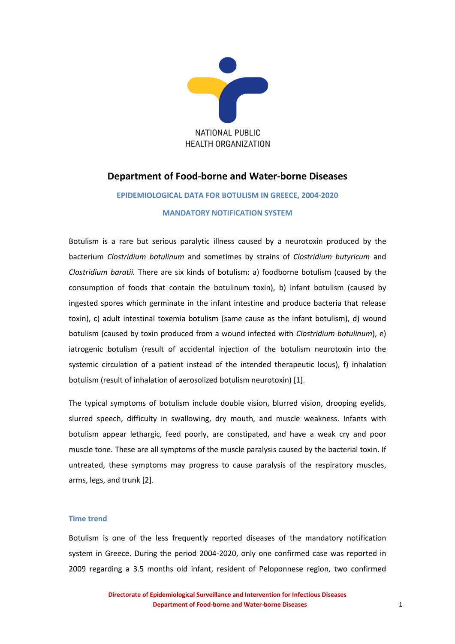

# **Department of Food-borne and Water-borne Diseases**

# **EPIDEMIOLOGICAL DATA FOR BOTULISM IN GREECE, 2004-2020 MANDATORY NOTIFICATION SYSTEM**

Botulism is a rare but serious paralytic illness caused by a neurotoxin produced by the bacterium *Clostridium botulinum* and sometimes by strains of *Clostridium butyricum* and *Clostridium baratii.* There are six kinds of botulism: a) foodborne botulism (caused by the consumption of foods that contain the botulinum toxin), b) infant botulism (caused by ingested spores which germinate in the infant intestine and produce bacteria that release toxin), c) adult intestinal toxemia botulism (same cause as the infant botulism), d) wound botulism (caused by toxin produced from a wound infected with *Clostridium botulinum*), e) iatrogenic botulism (result of accidental injection of the botulism neurotoxin into the systemic circulation of a patient instead of the intended therapeutic locus), f) inhalation botulism (result of inhalation of aerosolized botulism neurotoxin) [1].

The typical symptoms of botulism include double vision, blurred vision, drooping eyelids, slurred speech, difficulty in swallowing, dry mouth, and muscle weakness. Infants with botulism appear lethargic, feed poorly, are constipated, and have a weak cry and poor muscle tone. These are all symptoms of the muscle paralysis caused by the bacterial toxin. If untreated, these symptoms may progress to cause paralysis of the respiratory muscles, arms, legs, and trunk [2].

## **Time trend**

Botulism is one of the less frequently reported diseases of the mandatory notification system in Greece. During the period 2004-2020, only one confirmed case was reported in 2009 regarding a 3.5 months old infant, resident of Peloponnese region, two confirmed